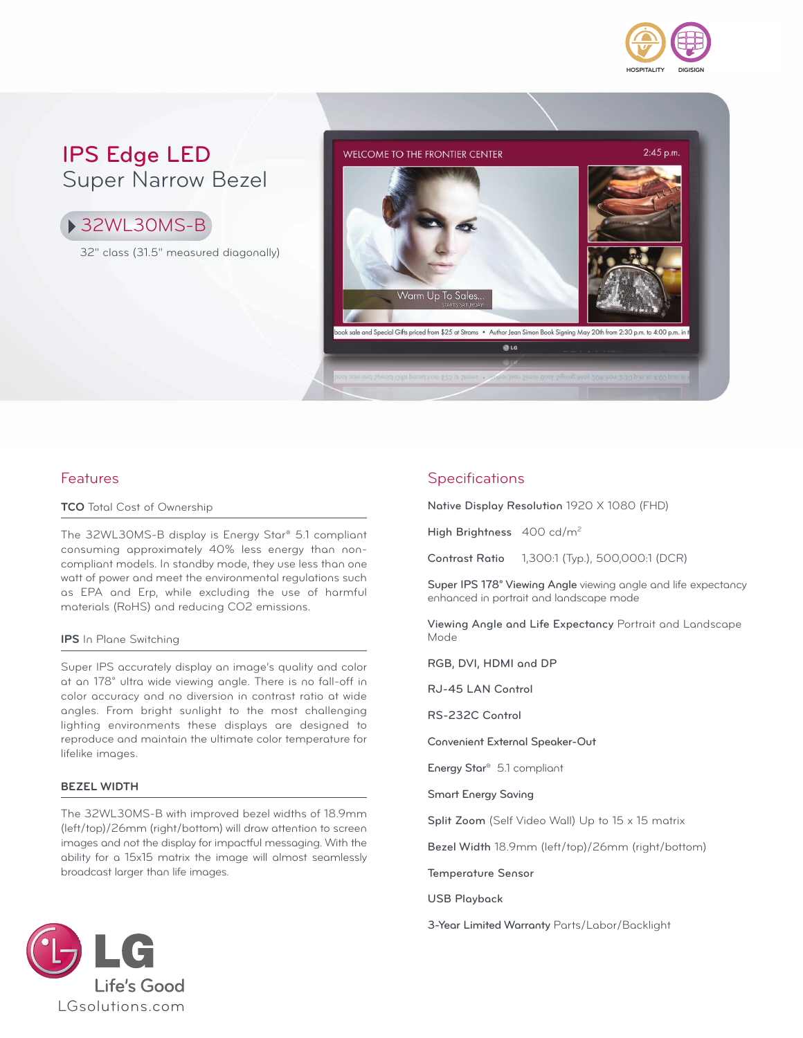

### **IPS Edge LED** Super Narrow Bezel

32WL30MS-B

32" class (31.5" measured diagonally)



### Features

#### **TCO** Total Cost of Ownership

The 32WL30MS-B display is Energy Star® 5.1 compliant consuming approximately 40% less energy than noncompliant models. In standby mode, they use less than one watt of power and meet the environmental regulations such as EPA and Erp, while excluding the use of harmful materials (RoHS) and reducing CO2 emissions.

#### **IPS** In Plane Switching

Super IPS accurately display an image's quality and color at an 178° ultra wide viewing angle. There is no fall-off in color accuracy and no diversion in contrast ratio at wide angles. From bright sunlight to the most challenging lighting environments these displays are designed to reproduce and maintain the ultimate color temperature for lifelike images.

#### **BEZEL WIDTH**

The 32WL30MS-B with improved bezel widths of 18.9mm (left/top)/26mm (right/bottom) will draw attention to screen images and not the display for impactful messaging. With the ability for a 15x15 matrix the image will almost seamlessly broadcast larger than life images.

### **Specifications**

**Native Display Resolution** 1920 X 1080 (FHD)

**High Brightness** 400 cd/m2

**Contrast Ratio** 1,300:1 (Typ.), 500,000:1 (DCR)

**Super IPS 178° Viewing Angle** viewing angle and life expectancy enhanced in portrait and landscape mode

**Viewing Angle and Life Expectancy** Portrait and Landscape Mode

**RGB, DVI, HDMI and DP**

**RJ-45 LAN Control**

**RS-232C Control**

**Convenient External Speaker-Out**

**Energy Star®** 5.1 compliant

**Smart Energy Saving**

**Split Zoom** (Self Video Wall) Up to 15 x 15 matrix

**Bezel Width** 18.9mm (left/top)/26mm (right/bottom)

#### **Temperature Sensor**

**USB Playback**

**3-Year Limited Warranty** Parts/Labor/Backlight

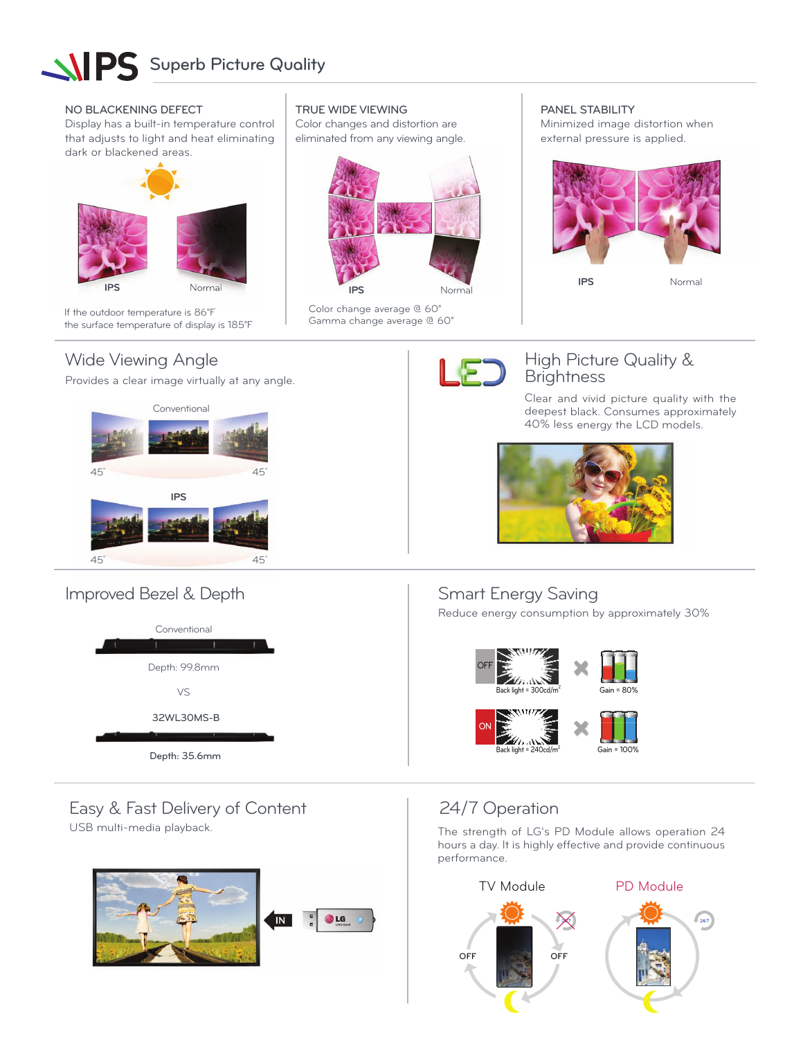# **SUPS** Superb Picture Quality

#### **NO BLACKENING DEFECT**

Display has a built-in temperature control that adjusts to light and heat eliminating dark or blackened areas.



If the outdoor temperature is 86°F the surface temperature of display is 185°F

### Wide Viewing Angle

Provides a clear image virtually at any angle.



### Improved Bezel & Depth



### **TRUE WIDE VIEWING**

Color changes and distortion are eliminated from any viewing angle.



Color change average @ 60° Gamma change average @ 60° **PANEL STABILITY**

Minimized image distortion when external pressure is applied.



**IPS** Normal



### High Picture Quality & **Brightness**

Clear and vivid picture quality with the deepest black. Consumes approximately 40% less energy the LCD models.



### Smart Energy Saving

Reduce energy consumption by approximately 30%



Easy & Fast Delivery of Content

USB multi-media playback.



### 24/7 Operation

The strength of LG's PD Module allows operation 24 hours a day. It is highly effective and provide continuous performance.

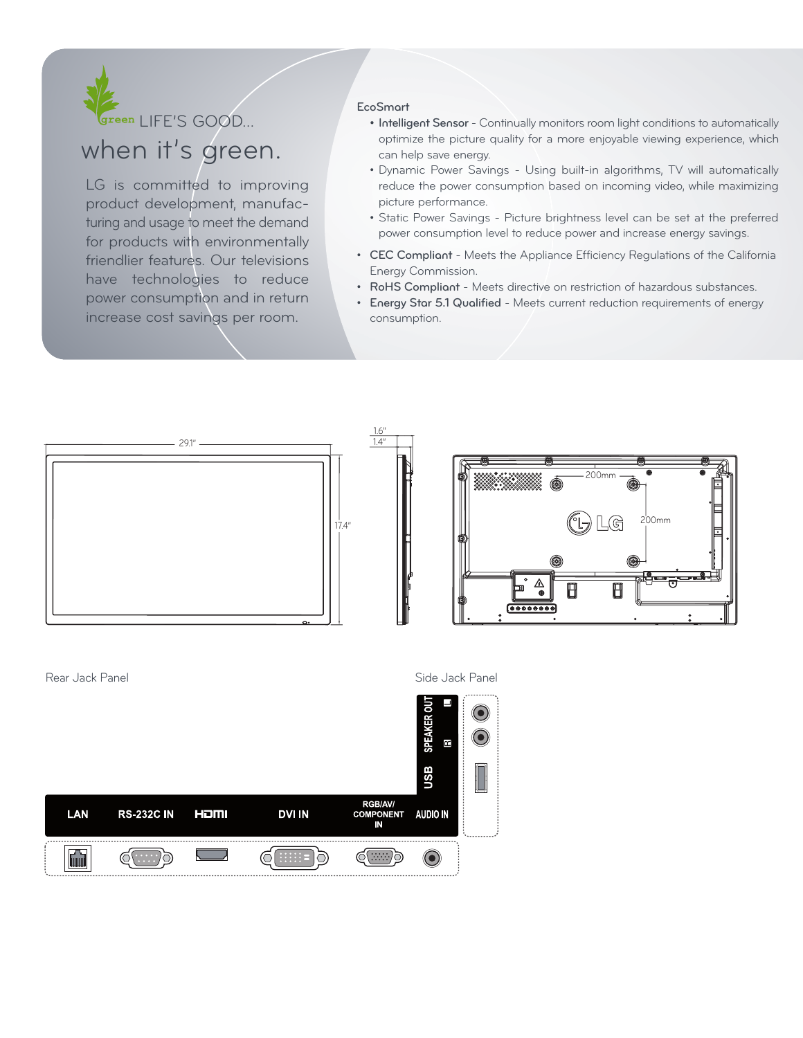

## when it's green.

LG is committed to improving product development, manufacturing and usage to meet the demand for products with environmentally friendlier features. Our televisions have technologies to reduce power consumption and in return increase cost savings per room.

#### **EcoSmart**

- **Intelligent Sensor**  Continually monitors room light conditions to automatically optimize the picture quality for a more enjoyable viewing experience, which can help save energy.
- Dynamic Power Savings Using built-in algorithms, TV will automatically reduce the power consumption based on incoming video, while maximizing picture performance.
- Static Power Savings Picture brightness level can be set at the preferred power consumption level to reduce power and increase energy savings.
- **CEC Compliant**  Meets the Appliance Efficiency Regulations of the California Energy Commission.
- **RoHS Compliant** Meets directive on restriction of hazardous substances.
- **Energy Star 5.1 Qualified** Meets current reduction requirements of energy consumption.



IN

<u>ලෙසා</u>)

 $\Xi$   $\Xi$   $\Xi$ 

ා ව